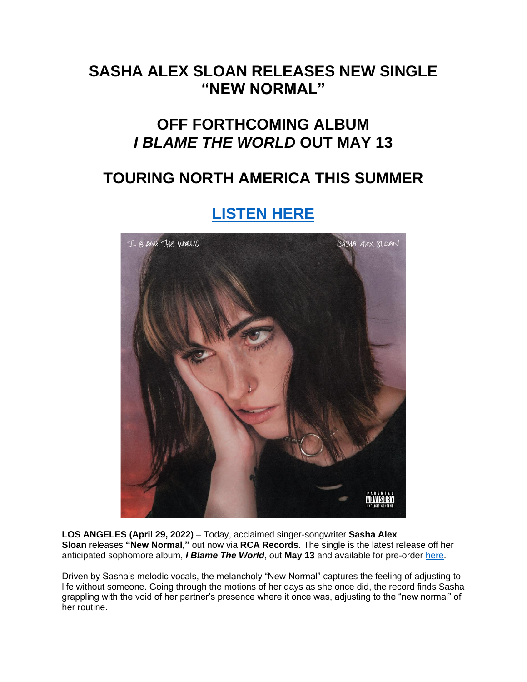### **SASHA ALEX SLOAN RELEASES NEW SINGLE "NEW NORMAL"**

## **OFF FORTHCOMING ALBUM** *I BLAME THE WORLD* **OUT MAY 13**

## **TOURING NORTH AMERICA THIS SUMMER**

# **[LISTEN HERE](https://eur01.safelinks.protection.outlook.com/?url=https%3A%2F%2Fsadgirlsloan.lnk.to%2Fnewnormal&data=05%7C01%7Cnoelle.janasiewicz.sme%40sonymusic.com%7Ca769bd07245c4918eff108da29efe652%7Cf0aff3b791a54aaeaf71c63e1dda2049%7C0%7C0%7C637868407642025955%7CUnknown%7CTWFpbGZsb3d8eyJWIjoiMC4wLjAwMDAiLCJQIjoiV2luMzIiLCJBTiI6Ik1haWwiLCJXVCI6Mn0%3D%7C3000%7C%7C%7C&sdata=wzxmIY%2BCeG0cspU8z2X5mpwRxta9ZwiAl0ajLuBRinE%3D&reserved=0)**



**LOS ANGELES (April 29, 2022)** – Today, acclaimed singer-songwriter **Sasha Alex Sloan** releases **"New Normal,"** out now via **RCA Records**. The single is the latest release off her anticipated sophomore album, *I Blame The World*, out **May 13** and available for pre-order [here.](https://eur01.safelinks.protection.outlook.com/?url=https%3A%2F%2Fsadgirlsloan.lnk.to%2FIBTW&data=05%7C01%7Cnoelle.janasiewicz.sme%40sonymusic.com%7Ca769bd07245c4918eff108da29efe652%7Cf0aff3b791a54aaeaf71c63e1dda2049%7C0%7C0%7C637868407642025955%7CUnknown%7CTWFpbGZsb3d8eyJWIjoiMC4wLjAwMDAiLCJQIjoiV2luMzIiLCJBTiI6Ik1haWwiLCJXVCI6Mn0%3D%7C3000%7C%7C%7C&sdata=zsaGVZ1ydkbSc9FhghCOUiy0l9GjmfKPs%2FXyICOelxQ%3D&reserved=0)

Driven by Sasha's melodic vocals, the melancholy "New Normal" captures the feeling of adjusting to life without someone. Going through the motions of her days as she once did, the record finds Sasha grappling with the void of her partner's presence where it once was, adjusting to the "new normal" of her routine.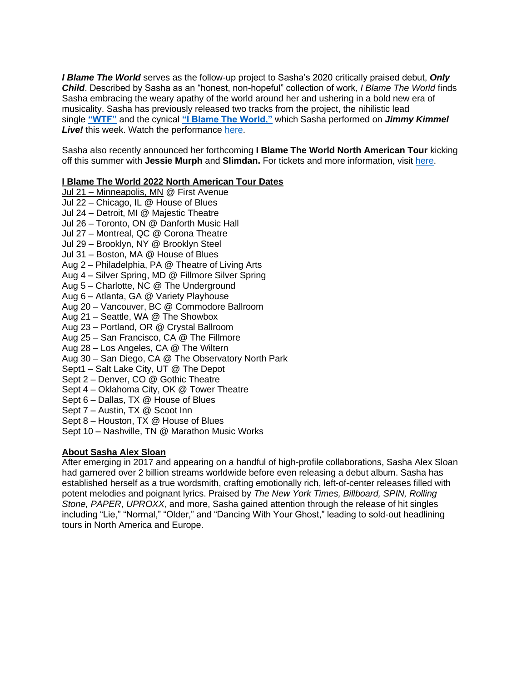*I Blame The World* serves as the follow-up project to Sasha's 2020 critically praised debut, *Only Child*. Described by Sasha as an "honest, non-hopeful" collection of work, *I Blame The World* finds Sasha embracing the weary apathy of the world around her and ushering in a bold new era of musicality. Sasha has previously released two tracks from the project, the nihilistic lead single **["WTF"](https://eur01.safelinks.protection.outlook.com/?url=https%3A%2F%2Fsadgirlsloan.lnk.to%2FWTF&data=05%7C01%7Cnoelle.janasiewicz.sme%40sonymusic.com%7Ca769bd07245c4918eff108da29efe652%7Cf0aff3b791a54aaeaf71c63e1dda2049%7C0%7C0%7C637868407642182186%7CUnknown%7CTWFpbGZsb3d8eyJWIjoiMC4wLjAwMDAiLCJQIjoiV2luMzIiLCJBTiI6Ik1haWwiLCJXVCI6Mn0%3D%7C3000%7C%7C%7C&sdata=myvYkWpOM0Ay4ZP%2FqgvSkx56pqOUZEA3wkiz2EgYe88%3D&reserved=0)** and the cynical **["I Blame The World,"](https://eur01.safelinks.protection.outlook.com/?url=https%3A%2F%2Fsadgirlsloan.lnk.to%2Fiblametheworld&data=05%7C01%7Cnoelle.janasiewicz.sme%40sonymusic.com%7Ca769bd07245c4918eff108da29efe652%7Cf0aff3b791a54aaeaf71c63e1dda2049%7C0%7C0%7C637868407642182186%7CUnknown%7CTWFpbGZsb3d8eyJWIjoiMC4wLjAwMDAiLCJQIjoiV2luMzIiLCJBTiI6Ik1haWwiLCJXVCI6Mn0%3D%7C3000%7C%7C%7C&sdata=xaRIuo5%2Bx2gTbAKgCvw8ZH9sRDBacuNjFCOAleXWBPA%3D&reserved=0)** which Sasha performed on *Jimmy Kimmel Live!* this week. Watch the performance [here.](https://eur01.safelinks.protection.outlook.com/?url=https%3A%2F%2Fyoutu.be%2FRnKq1vRDKJE&data=05%7C01%7Cnoelle.janasiewicz.sme%40sonymusic.com%7Ca769bd07245c4918eff108da29efe652%7Cf0aff3b791a54aaeaf71c63e1dda2049%7C0%7C0%7C637868407642182186%7CUnknown%7CTWFpbGZsb3d8eyJWIjoiMC4wLjAwMDAiLCJQIjoiV2luMzIiLCJBTiI6Ik1haWwiLCJXVCI6Mn0%3D%7C3000%7C%7C%7C&sdata=4cgNsL5BuEdtBEtJTDHrUL174Df%2B6yC15Z6Ar1zx6QE%3D&reserved=0)

Sasha also recently announced her forthcoming **I Blame The World North American Tour** kicking off this summer with **Jessie Murph** and **Slimdan.** For tickets and more information, visit [here.](https://eur01.safelinks.protection.outlook.com/?url=https%3A%2F%2Fwww.sadgirlsloan.com%2Ftour%2F&data=05%7C01%7Cnoelle.janasiewicz.sme%40sonymusic.com%7Ca769bd07245c4918eff108da29efe652%7Cf0aff3b791a54aaeaf71c63e1dda2049%7C0%7C0%7C637868407642182186%7CUnknown%7CTWFpbGZsb3d8eyJWIjoiMC4wLjAwMDAiLCJQIjoiV2luMzIiLCJBTiI6Ik1haWwiLCJXVCI6Mn0%3D%7C3000%7C%7C%7C&sdata=91ZQBxqBIGUjXmuCYistnD1O1f3Fimmm7QHpi9uHZXM%3D&reserved=0)

#### **I Blame The World 2022 North American Tour Dates**

- Jul 21 Minneapolis, MN @ First Avenue Jul 22 – Chicago, IL @ House of Blues Jul 24 – Detroit, MI @ Majestic Theatre Jul 26 – Toronto, ON @ Danforth Music Hall Jul 27 – Montreal, QC @ Corona Theatre Jul 29 – Brooklyn, NY @ Brooklyn Steel Jul 31 – Boston, MA @ House of Blues Aug 2 – Philadelphia, PA @ Theatre of Living Arts Aug 4 – Silver Spring, MD @ Fillmore Silver Spring Aug 5 – Charlotte, NC @ The Underground Aug 6 – Atlanta, GA @ Variety Playhouse Aug 20 – Vancouver, BC @ Commodore Ballroom Aug 21 – Seattle, WA @ The Showbox Aug 23 – Portland, OR @ Crystal Ballroom Aug 25 – San Francisco, CA @ The Fillmore Aug 28 – Los Angeles, CA @ The Wiltern Aug 30 – San Diego, CA @ The Observatory North Park Sept1 – Salt Lake City, UT @ The Depot Sept 2 – Denver, CO @ Gothic Theatre Sept 4 – Oklahoma City, OK @ Tower Theatre Sept 6 – Dallas, TX @ House of Blues Sept 7 – Austin, TX @ Scoot Inn Sept 8 – Houston, TX @ House of Blues
- Sept 10 Nashville, TN @ Marathon Music Works

#### **About Sasha Alex Sloan**

After emerging in 2017 and appearing on a handful of high-profile collaborations, Sasha Alex Sloan had garnered over 2 billion streams worldwide before even releasing a debut album. Sasha has established herself as a true wordsmith, crafting emotionally rich, left-of-center releases filled with potent melodies and poignant lyrics. Praised by *The New York Times, Billboard, SPIN, Rolling Stone, PAPER*, *UPROXX*, and more, Sasha gained attention through the release of hit singles including "Lie," "Normal," "Older," and "Dancing With Your Ghost," leading to sold-out headlining tours in North America and Europe.